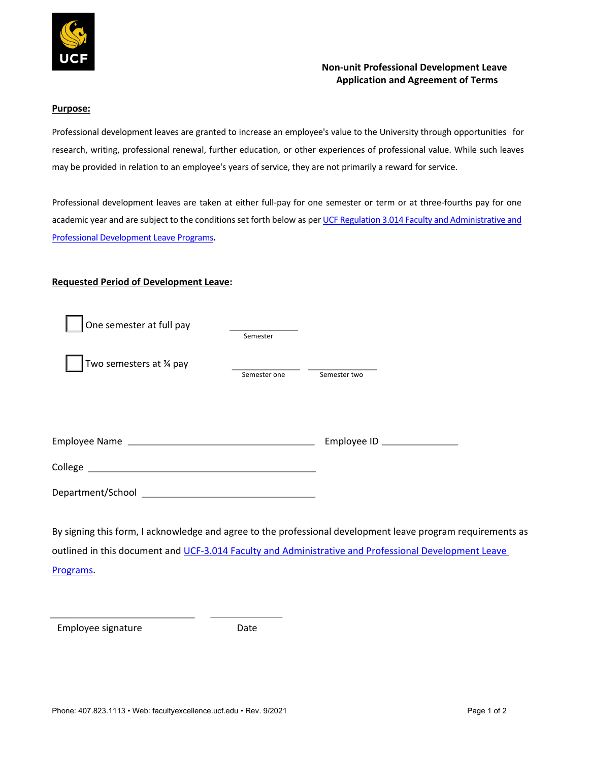

# **Non-unit Professional Development Leave Application and Agreement of Terms**

#### **Purpose:**

Professional development leaves are granted to increase an employee's value to the University through opportunities for research, writing, professional renewal, further education, or other experiences of professional value. While such leaves may be provided in relation to an employee's years of service, they are not primarily a reward for service.

Professional development leaves are taken at either full-pay for one semester or term or at three-fourths pay for one academic year and are subject to the conditions set forth below as per UCF Regulation 3.014 Faculty and Administrative and Professional Development Leave Programs**.** 

### **Requested Period of Development Leave:**

| One semester at full pay                                                                                        |              |                             |  |
|-----------------------------------------------------------------------------------------------------------------|--------------|-----------------------------|--|
|                                                                                                                 | Semester     |                             |  |
| Two semesters at % pay                                                                                          |              |                             |  |
|                                                                                                                 | Semester one | Semester two                |  |
|                                                                                                                 |              |                             |  |
|                                                                                                                 |              |                             |  |
|                                                                                                                 |              |                             |  |
|                                                                                                                 |              | Employee ID _______________ |  |
|                                                                                                                 |              |                             |  |
|                                                                                                                 |              |                             |  |
|                                                                                                                 |              |                             |  |
|                                                                                                                 |              |                             |  |
| By signing this form, I acknowledge and agree to the professional development leave program requirements as     |              |                             |  |
| andla ad to this decomposition di HOP (1944) Paculto and Administration and Boofactional Barrelamento and Laure |              |                             |  |

outlined in this document and UCF-3.014 Faculty and Administrative and Professional Development Leave Programs.

Employee signature **Employee** Sate